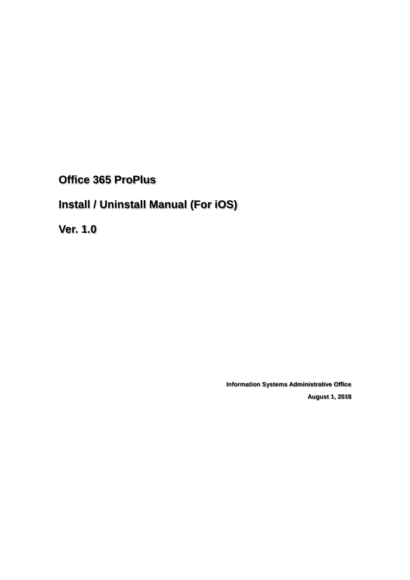**Office 365 ProPlus**

# **Install / Uninstall Manual (For iOS)**

**Ver. 1.0**

**Information Systems Administrative Office August 1, 2018**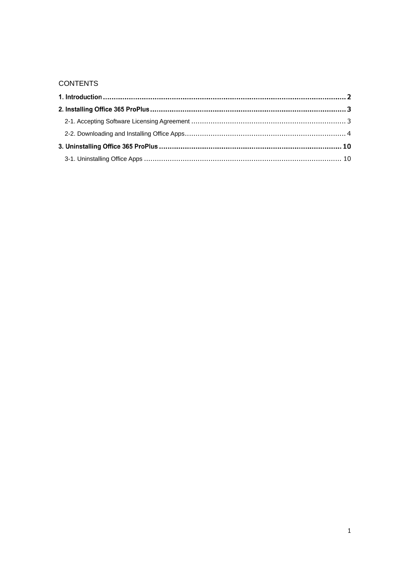## **CONTENTS**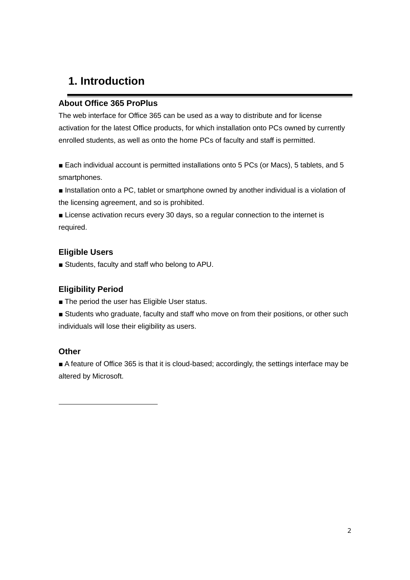## **1. Introduction**

#### **About Office 365 ProPlus**

The web interface for Office 365 can be used as a way to distribute and for license activation for the latest Office products, for which installation onto PCs owned by currently enrolled students, as well as onto the home PCs of faculty and staff is permitted.

■ Each individual account is permitted installations onto 5 PCs (or Macs), 5 tablets, and 5 smartphones.

■ Installation onto a PC, tablet or smartphone owned by another individual is a violation of the licensing agreement, and so is prohibited.

■ License activation recurs every 30 days, so a regular connection to the internet is required.

### **Eligible Users**

■ Students, faculty and staff who belong to APU.

#### **Eligibility Period**

- The period the user has Eligible User status.
- Students who graduate, faculty and staff who move on from their positions, or other such individuals will lose their eligibility as users.

#### **Other**

■ A feature of Office 365 is that it is cloud-based; accordingly, the settings interface may be altered by Microsoft.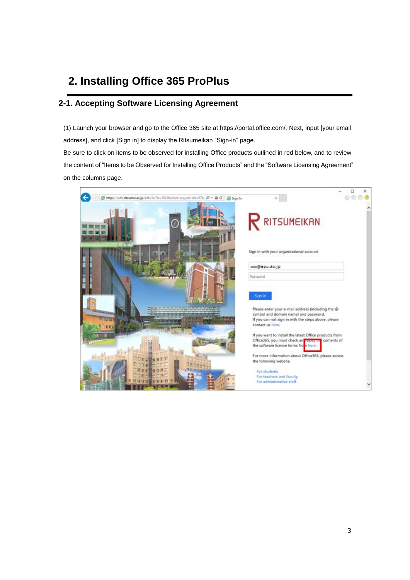# **2. Installing Office 365 ProPlus**

## <span id="page-3-0"></span>**2-1. Accepting Software Licensing Agreement**

(1) Launch your browser and go to the Office 365 site at https://portal.office.com/. Next, input [your email address], and click [Sign in] to display the Ritsumeikan "Sign-in" page.

Be sure to click on items to be observed for installing Office products outlined in red below, and to review the content of "Items to be Observed for Installing Office Products" and the "Software Licensing Agreement" on the columns page.

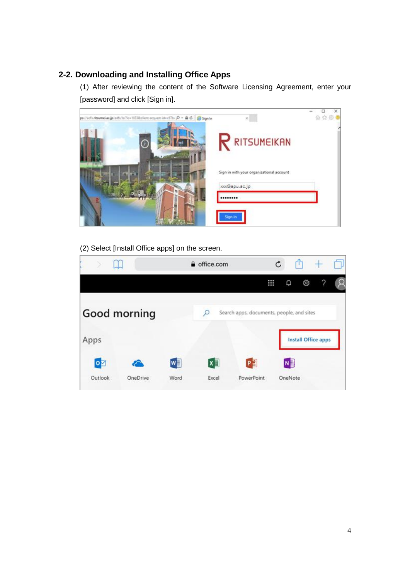## <span id="page-4-0"></span>**2-2. Downloading and Installing Office Apps**

(1) After reviewing the content of the Software Licensing Agreement, enter your [password] and click [Sign in].

| pp://adfs.nitsumei.ac.jp/adfs/ts/?ic=1033&client-request-ideot/7b- $D = \bar{m} C$   Sign.ln | × I                                      | $_{\times}$<br>命☆母● |
|----------------------------------------------------------------------------------------------|------------------------------------------|---------------------|
|                                                                                              | <b>RITSUMEIKAN</b>                       |                     |
|                                                                                              | Sign in with your organizational account |                     |
|                                                                                              | xxx@apu.ac.jp                            |                     |
|                                                                                              |                                          |                     |
|                                                                                              | Sign in                                  |                     |

(2) Select [Install Office apps] on the screen.

|             |              |      | <b>△</b> office.com |                                           | $\mathfrak{C}$ |                            |  |
|-------------|--------------|------|---------------------|-------------------------------------------|----------------|----------------------------|--|
|             |              |      |                     |                                           | ₩<br>۵         | 慾                          |  |
|             | Good morning |      |                     | Search apps, documents, people, and sites |                |                            |  |
| Apps        |              |      |                     |                                           |                | <b>Install Office apps</b> |  |
| $\bullet$ z |              | w≣   | x ≣                 | P∃                                        |                | <b>N</b>                   |  |
| Outlook     | OneDrive     | Word | Excel               | PowerPoint                                |                | OneNote                    |  |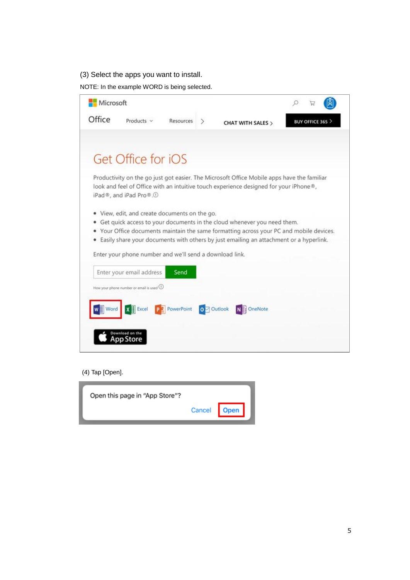### (3) Select the apps you want to install.

NOTE: In the example WORD is being selected.

| Microsoft |                                                         |                        |                                                                                                                                                                                                                                                            |                       |  |
|-----------|---------------------------------------------------------|------------------------|------------------------------------------------------------------------------------------------------------------------------------------------------------------------------------------------------------------------------------------------------------|-----------------------|--|
| Office    | Products v                                              | Resources              | CHAT WITH SALES >                                                                                                                                                                                                                                          | <b>BUY OFFICE 365</b> |  |
|           |                                                         |                        |                                                                                                                                                                                                                                                            |                       |  |
|           | Get Office for iOS                                      |                        |                                                                                                                                                                                                                                                            |                       |  |
|           | iPad®, and iPad Pro®.1                                  |                        | Productivity on the go just got easier. The Microsoft Office Mobile apps have the familiar<br>look and feel of Office with an intuitive touch experience designed for your iPhone®,                                                                        |                       |  |
| ۰         | View, edit, and create documents on the go.             |                        |                                                                                                                                                                                                                                                            |                       |  |
| ۰<br>۰    |                                                         |                        | Get quick access to your documents in the cloud whenever you need them.<br>Your Office documents maintain the same formatting across your PC and mobile devices.<br>Easily share your documents with others by just emailing an attachment or a hyperlink. |                       |  |
|           | Enter your phone number and we'll send a download link. |                        |                                                                                                                                                                                                                                                            |                       |  |
|           | Enter your email address                                | Send                   |                                                                                                                                                                                                                                                            |                       |  |
|           | How your phone number or email is used $\bigcirc$       |                        |                                                                                                                                                                                                                                                            |                       |  |
| Word      | Excel                                                   | P PowerPoint 0 Outlook | N OneNote                                                                                                                                                                                                                                                  |                       |  |
|           |                                                         |                        |                                                                                                                                                                                                                                                            |                       |  |
|           |                                                         |                        |                                                                                                                                                                                                                                                            |                       |  |

#### (4) Tap [Open].

| Open this page in "App Store"? |             |  |
|--------------------------------|-------------|--|
|                                | Cancel Open |  |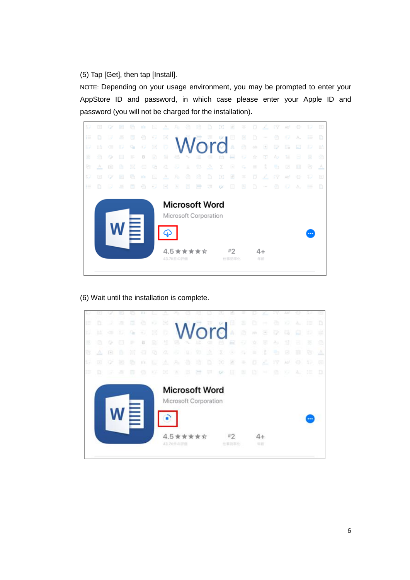(5) Tap [Get], then tap [Install].

NOTE: Depending on your usage environment, you may be prompted to enter your AppStore ID and password, in which case please enter your Apple ID and password (you will not be charged for the installation).



#### (6) Wait until the installation is complete.

|     |      |        | œ   | US. | 111 | τ  | A        | Rı                                                              | ø  | 48        | D  | œ                       | z     |    | o   | L. | 17. | ХW | Ð  | 37 | ω  |
|-----|------|--------|-----|-----|-----|----|----------|-----------------------------------------------------------------|----|-----------|----|-------------------------|-------|----|-----|----|-----|----|----|----|----|
| E   | D    | -2     | 方   | 毒   | Ð   | Đ  | B        |                                                                 |    |           |    |                         | Θ     | s  | Ð   | ÷  | a   | W. | 泥  | 莊  | D  |
| ю   | 115° | œ      | 35  | q,  | ÷.  | 瑶  | O.       |                                                                 |    |           |    | Word                    | k     | ā  | piy | 8  | o   | c  | o  | Ŧ. | 16 |
| 医   |      | ۰      | m   |     | Ð   | R) | 푶        | 18                                                              |    | <b>UD</b> |    |                         | ₽     |    |     | 凉  | AУ  | 9  | B  | 涯  | ø  |
| ß.  | Δ    | $\Box$ | в   | 30  | ÷   | 56 | $\sigma$ | 42                                                              | ū. | Ÿ3        | ž. | Σ                       | ×     | c, | ×   | 3  | ÷.  | ø  | m  | 8  | Δ  |
| 17  | Ð    | o      | в   | Ø.  | th. | ъ  | ×        | Æ.                                                              | a  | 诌         | o  | $\mathbb{C} \mathbb{C}$ | ×     | ×  | ٥   | z. | 27  | w  | ø  | 32 | ø  |
| IB. |      |        | -25 | m.  | Ð.  | Ŧ. | 81       | ×                                                               | Ш  | ಜ         | ŲΕ | C/                      | E     | в  | Ð   |    | ø.  | 92 | X. | 韭  | D  |
|     |      |        |     |     |     |    |          | <b>Microsoft Word</b><br>Microsoft Corporation<br>4.5 ★ ★ ★ ★ ☆ |    |           |    |                         | $*2$  |    |     | 4+ |     |    |    |    |    |
|     |      |        |     |     |     |    |          | 43.7K作の評価                                                       |    |           |    |                         | 仕事的事化 |    |     | 北部 |     |    |    |    |    |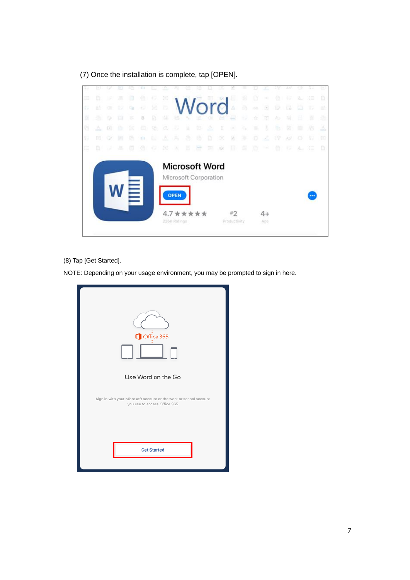|    |     |                    |    |     |         |    | ÷.                                    |                                                                                                |   |     |    | œ            | 國                    |    |     |               |        | Ab)             |                             |    |     |
|----|-----|--------------------|----|-----|---------|----|---------------------------------------|------------------------------------------------------------------------------------------------|---|-----|----|--------------|----------------------|----|-----|---------------|--------|-----------------|-----------------------------|----|-----|
| E  |     | 15                 | л  | ▣   | e       | Đ. | $\begin{bmatrix} \pm 1 \end{bmatrix}$ |                                                                                                |   |     |    |              | w                    | Đ  | D   | $\sim 1.1$    | ø      | w               | A.                          | 狂  | D.  |
| Đ  | ut. | $\alpha$           | 52 | q,  | $-12$   | 圃  | 15.                                   |                                                                                                |   |     |    | Word         | $\sqrt{3}$           | a  | nb- | 0             | v      | 局               | <b>Ind</b>                  | T) | Пà: |
| 岌  | ÷.  | $\circ$            | m  | ĸ   | B       | B. | 缝                                     | -8                                                                                             |   | 脇   |    |              | 2                    |    | ÷   | 冟             | $\sim$ | 写               | a                           | 豈  | ā   |
| e  | a.  | $\Xi$              | Đ. | 101 | ā.      | 砧  | œ.                                    | Ð                                                                                              | ü | 纺   | 2  | Σ            | ×                    | c, | Ξ   | ř.            | 6      | 砲               | 亜                           | 16 | A.  |
| Y) | 田   | $\scriptstyle\sim$ | 田  | œ.  | K1      | B. | w                                     | A.                                                                                             | a | ia. | Ð  | 閲            | 8                    | ٠  | Đ   | L             | 19     | Ab <sup>n</sup> | 관                           | 32 | 囪   |
| E  | D   | $\mathcal{L}$      | 各  | 围   | $\odot$ | Đ. | 围                                     | A.                                                                                             | 団 | a   | 정대 | $1/\epsilon$ | ▣                    | 윧  | æ   | <b>County</b> | Ð      | 获               | $\mathcal{A}_{\alpha\beta}$ | 淮  | D.  |
|    |     |                    |    |     |         |    |                                       | <b>Microsoft Word</b><br>Microsoft Corporation<br><b>OPEN</b><br>4.7 ★ ★ ★ ★ ★<br>226K Ratings |   |     |    |              | $*2$<br>Productivity |    |     | $4+$<br>Age.  |        |                 |                             |    |     |

(7) Once the installation is complete, tap [OPEN].

(8) Tap [Get Started].

NOTE: Depending on your usage environment, you may be prompted to sign in here.

| Office 365<br>Use Word on the Go<br>Sign in with your Microsoft account or the work or school account<br>you use to access Office 365 |
|---------------------------------------------------------------------------------------------------------------------------------------|
| <b>Get Started</b>                                                                                                                    |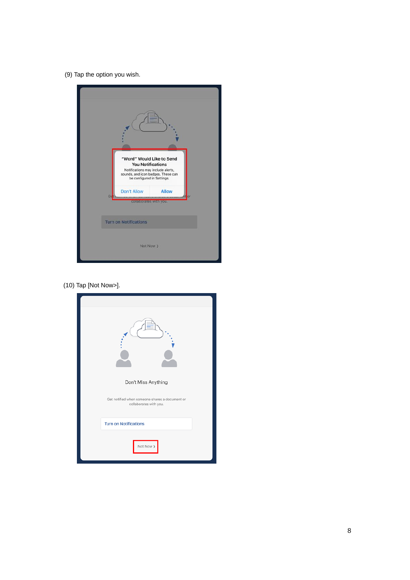(9) Tap the option you wish.



(10) Tap [Not Now>].

| Don't Miss Anything                                                      |
|--------------------------------------------------------------------------|
| Get notified when someone shares a document or<br>collaborates with you. |
| <b>Turn on Notifications</b>                                             |
| Not Now >                                                                |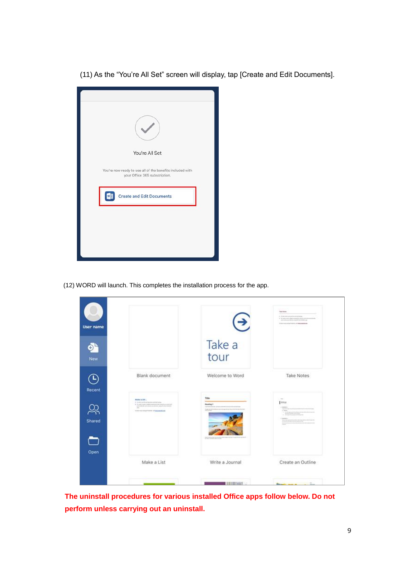(11) As the "You're All Set" screen will display, tap [Create and Edit Documents].

| You're All Set                                                                             |
|--------------------------------------------------------------------------------------------|
| You're now ready to use all of the benefits included with<br>your Office 365 subscription. |
| <b>Create and Edit Documents</b><br>wE                                                     |
|                                                                                            |
|                                                                                            |
|                                                                                            |

(12) WORD will launch. This completes the installation process for the app.

| User name                           |                                                                                                                                                                                                            | $\bigodot$                                                                     | <b>Saturday</b><br>a Term entrancement<br>A Worth consideration is a projection<br>becomes the start director struggling for<br>in terms on order that the collection of |
|-------------------------------------|------------------------------------------------------------------------------------------------------------------------------------------------------------------------------------------------------------|--------------------------------------------------------------------------------|--------------------------------------------------------------------------------------------------------------------------------------------------------------------------|
| o,<br><b>New</b>                    |                                                                                                                                                                                                            | Take a<br>tour                                                                 |                                                                                                                                                                          |
| $\left(\mathsf{D}\right)$<br>Recent | Blank document                                                                                                                                                                                             | Welcome to Word                                                                | <b>Take Notes</b>                                                                                                                                                        |
| ೨್ಲ<br>Shared                       | Mode a DA<br>I to sit in the representation<br>1. In Just code is due to serve to be real accounting<br>principals do announce and device play by the charitant<br>÷<br>form we object that of an analysis | Title<br><b>Financing 1</b><br><b>HAN</b><br><b>Children Corp. Corp. Corp.</b> | $\sim$<br>1ma<br>Linker<br><b>Carried</b><br>1 kmm                                                                                                                       |
| Open                                | Make a List                                                                                                                                                                                                | Write a Journal                                                                | Create an Outline                                                                                                                                                        |
|                                     |                                                                                                                                                                                                            | <b>LEATHER MADE:</b>                                                           |                                                                                                                                                                          |

**The uninstall procedures for various installed Office apps follow below. Do not perform unless carrying out an uninstall.**